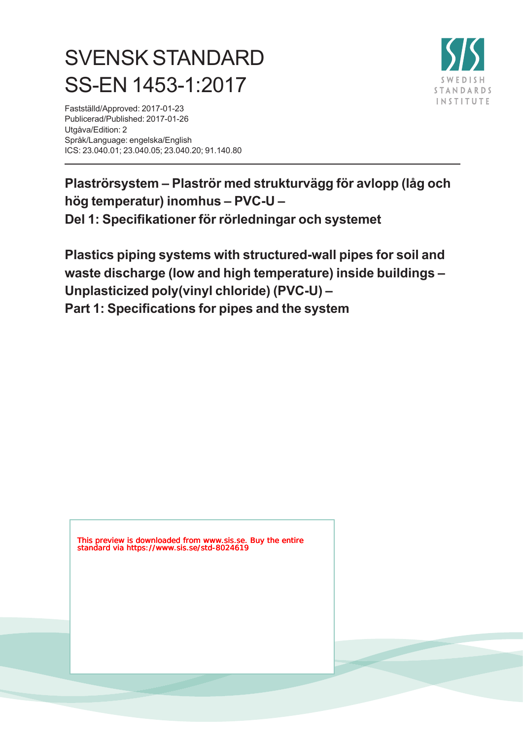# SVENSK STANDARD SS-EN 1453-1:2017

**STANDARDS** INSTITUTE

Fastställd/Approved: 2017-01-23 Publicerad/Published: 2017-01-26 Utgåva/Edition: 2 Språk/Language: engelska/English ICS: 23.040.01; 23.040.05; 23.040.20; 91.140.80

**Plaströrsystem – Plaströr med strukturvägg för avlopp (låg och hög temperatur) inomhus – PVC-U – Del 1: Specifikationer för rörledningar och systemet**

**Plastics piping systems with structured-wall pipes for soil and waste discharge (low and high temperature) inside buildings – Unplasticized poly(vinyl chloride) (PVC-U) – Part 1: Specifications for pipes and the system**

This preview is downloaded from www.sis.se. Buy the entire standard via https://www.sis.se/std-8024619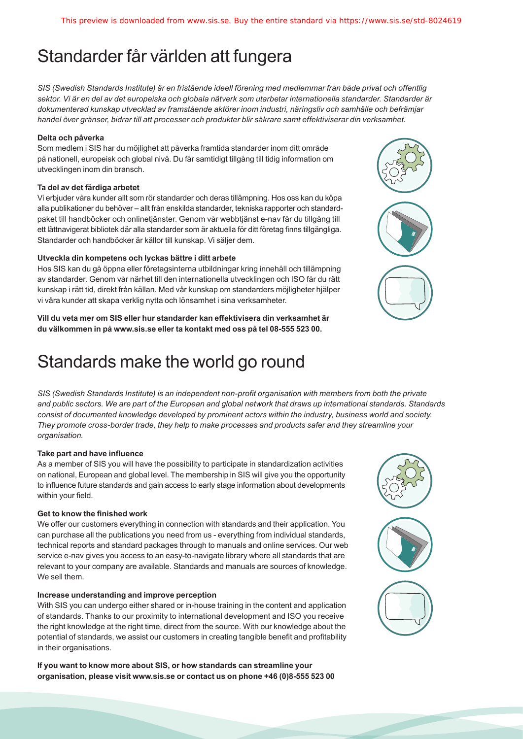# Standarder får världen att fungera

*SIS (Swedish Standards Institute) är en fristående ideell förening med medlemmar från både privat och offentlig sektor. Vi är en del av det europeiska och globala nätverk som utarbetar internationella standarder. Standarder är dokumenterad kunskap utvecklad av framstående aktörer inom industri, näringsliv och samhälle och befrämjar handel över gränser, bidrar till att processer och produkter blir säkrare samt effektiviserar din verksamhet.* 

#### **Delta och påverka**

Som medlem i SIS har du möjlighet att påverka framtida standarder inom ditt område på nationell, europeisk och global nivå. Du får samtidigt tillgång till tidig information om utvecklingen inom din bransch.

### **Ta del av det färdiga arbetet**

Vi erbjuder våra kunder allt som rör standarder och deras tillämpning. Hos oss kan du köpa alla publikationer du behöver – allt från enskilda standarder, tekniska rapporter och standardpaket till handböcker och onlinetjänster. Genom vår webbtjänst e-nav får du tillgång till ett lättnavigerat bibliotek där alla standarder som är aktuella för ditt företag finns tillgängliga. Standarder och handböcker är källor till kunskap. Vi säljer dem.

#### **Utveckla din kompetens och lyckas bättre i ditt arbete**

Hos SIS kan du gå öppna eller företagsinterna utbildningar kring innehåll och tillämpning av standarder. Genom vår närhet till den internationella utvecklingen och ISO får du rätt kunskap i rätt tid, direkt från källan. Med vår kunskap om standarders möjligheter hjälper vi våra kunder att skapa verklig nytta och lönsamhet i sina verksamheter.

**Vill du veta mer om SIS eller hur standarder kan effektivisera din verksamhet är du välkommen in på www.sis.se eller ta kontakt med oss på tel 08-555 523 00.**

# Standards make the world go round

*SIS (Swedish Standards Institute) is an independent non-profit organisation with members from both the private and public sectors. We are part of the European and global network that draws up international standards. Standards consist of documented knowledge developed by prominent actors within the industry, business world and society. They promote cross-border trade, they help to make processes and products safer and they streamline your organisation.*

#### **Take part and have influence**

As a member of SIS you will have the possibility to participate in standardization activities on national, European and global level. The membership in SIS will give you the opportunity to influence future standards and gain access to early stage information about developments within your field.

#### **Get to know the finished work**

We offer our customers everything in connection with standards and their application. You can purchase all the publications you need from us - everything from individual standards, technical reports and standard packages through to manuals and online services. Our web service e-nav gives you access to an easy-to-navigate library where all standards that are relevant to your company are available. Standards and manuals are sources of knowledge. We sell them.

#### **Increase understanding and improve perception**

With SIS you can undergo either shared or in-house training in the content and application of standards. Thanks to our proximity to international development and ISO you receive the right knowledge at the right time, direct from the source. With our knowledge about the potential of standards, we assist our customers in creating tangible benefit and profitability in their organisations.

**If you want to know more about SIS, or how standards can streamline your organisation, please visit www.sis.se or contact us on phone +46 (0)8-555 523 00**



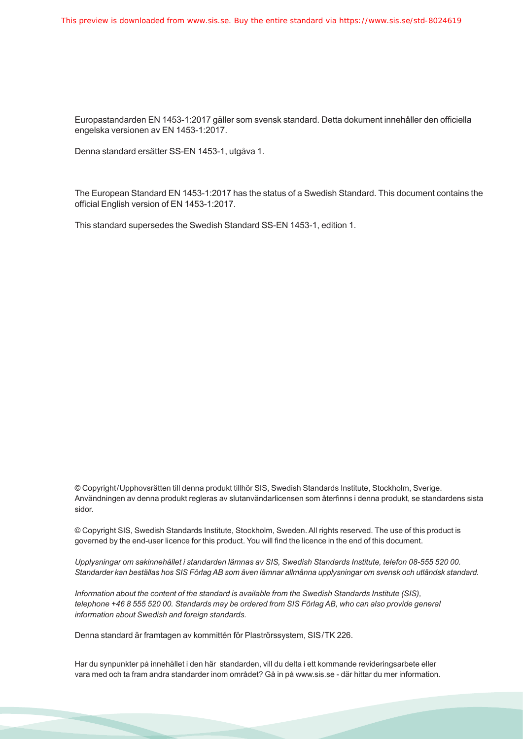Europastandarden EN 1453-1:2017 gäller som svensk standard. Detta dokument innehåller den officiella engelska versionen av EN 1453-1:2017.

Denna standard ersätter SS-EN 1453-1, utgåva 1.

The European Standard EN 1453-1:2017 has the status of a Swedish Standard. This document contains the official English version of EN 1453-1:2017.

This standard supersedes the Swedish Standard SS-EN 1453-1, edition 1.

© Copyright / Upphovsrätten till denna produkt tillhör SIS, Swedish Standards Institute, Stockholm, Sverige. Användningen av denna produkt regleras av slutanvändarlicensen som återfinns i denna produkt, se standardens sista sidor.

© Copyright SIS, Swedish Standards Institute, Stockholm, Sweden. All rights reserved. The use of this product is governed by the end-user licence for this product. You will find the licence in the end of this document.

*Upplysningar om sakinnehållet i standarden lämnas av SIS, Swedish Standards Institute, telefon 08-555 520 00. Standarder kan beställas hos SIS Förlag AB som även lämnar allmänna upplysningar om svensk och utländsk standard.*

*Information about the content of the standard is available from the Swedish Standards Institute (SIS), telephone +46 8 555 520 00. Standards may be ordered from SIS Förlag AB, who can also provide general information about Swedish and foreign standards.*

Denna standard är framtagen av kommittén för Plaströrssystem, SIS / TK 226.

Har du synpunkter på innehållet i den här standarden, vill du delta i ett kommande revideringsarbete eller vara med och ta fram andra standarder inom området? Gå in på www.sis.se - där hittar du mer information.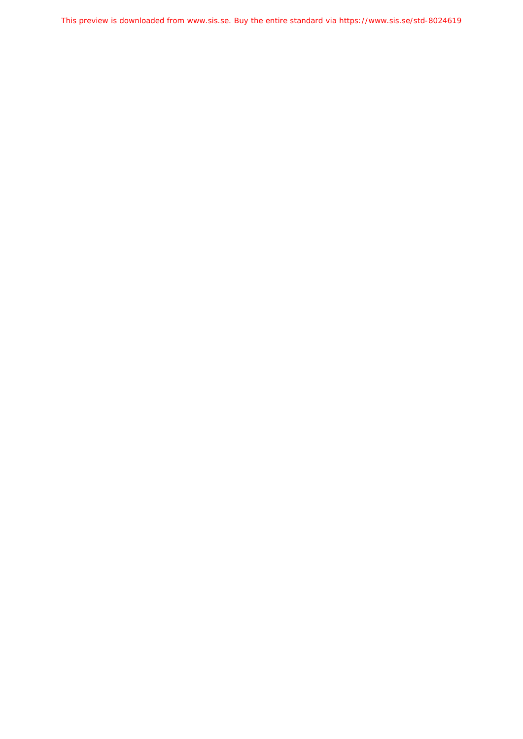This preview is downloaded from www.sis.se. Buy the entire standard via https://www.sis.se/std-8024619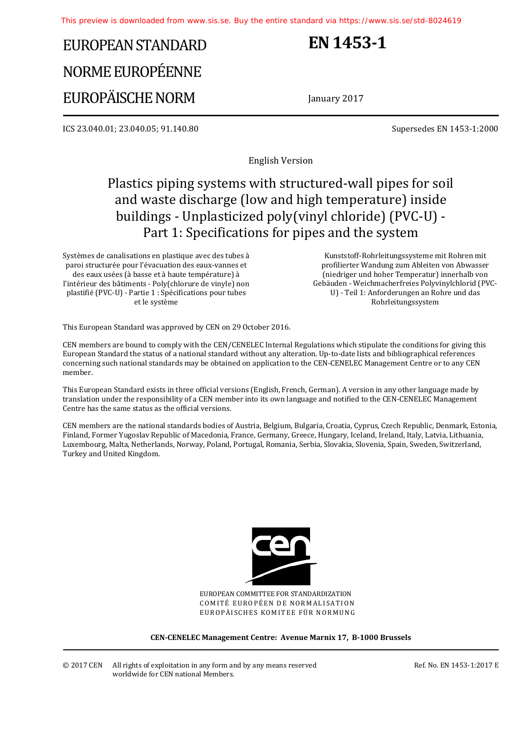# EUROPEAN STANDARD NORME EUROPÉENNE EUROPÄISCHE NORM

# **EN 1453-1**

January 2017

ICS 23.040.01; 23.040.05; 91.140.80 Supersedes EN 1453-1:2000

English Version

# Plastics piping systems with structured-wall pipes for soil and waste discharge (low and high temperature) inside buildings - Unplasticized poly(vinyl chloride) (PVC-U) - Part 1: Specifications for pipes and the system

Systèmes de canalisations en plastique avec des tubes à paroi structurée pour l'évacuation des eaux-vannes et des eaux usées (à basse et à haute température) à l'intérieur des bâtiments - Poly(chlorure de vinyle) non plastifié (PVC-U) - Partie 1 : Spécifications pour tubes et le système

 Kunststoff-Rohrleitungssysteme mit Rohren mit profilierter Wandung zum Ableiten von Abwasser (niedriger und hoher Temperatur) innerhalb von Gebäuden - Weichmacherfreies Polyvinylchlorid (PVC-U) - Teil 1: Anforderungen an Rohre und das Rohrleitungssystem

This European Standard was approved by CEN on 29 October 2016.

CEN members are bound to comply with the CEN/CENELEC Internal Regulations which stipulate the conditions for giving this European Standard the status of a national standard without any alteration. Up-to-date lists and bibliographical references concerning such national standards may be obtained on application to the CEN-CENELEC Management Centre or to any CEN member.

This European Standard exists in three official versions (English, French, German). A version in any other language made by translation under the responsibility of a CEN member into its own language and notified to the CEN-CENELEC Management Centre has the same status as the official versions.

CEN members are the national standards bodies of Austria, Belgium, Bulgaria, Croatia, Cyprus, Czech Republic, Denmark, Estonia, Finland, Former Yugoslav Republic of Macedonia, France, Germany, Greece, Hungary, Iceland, Ireland, Italy, Latvia, Lithuania, Luxembourg, Malta, Netherlands, Norway, Poland, Portugal, Romania, Serbia, Slovakia, Slovenia, Spain, Sweden, Switzerland, Turkey and United Kingdom.



EUROPEAN COMMITTEE FOR STANDARDIZATION COMITÉ EUROPÉEN DE NORMALISATION EUROPÄISCHES KOMITEE FÜR NORMUNG

**CEN-CENELEC Management Centre: Avenue Marnix 17, B-1000 Brussels** 

© 2017 CEN All rights of exploitation in any form and by any means reserved worldwide for CEN national Members.

Ref. No. EN 1453-1:2017 E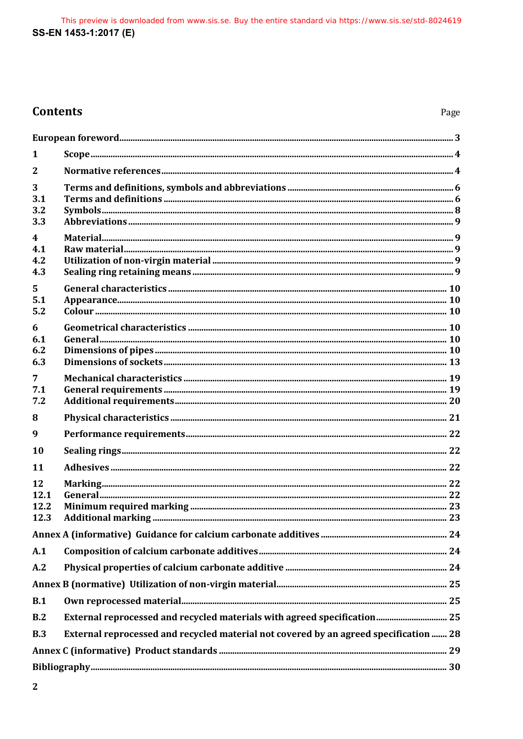# **Contents**

| 1                                            |                                                                                       |  |
|----------------------------------------------|---------------------------------------------------------------------------------------|--|
| $\mathbf{2}$                                 |                                                                                       |  |
| 3<br>3.1<br>3.2<br>3.3                       |                                                                                       |  |
| $\overline{\mathbf{4}}$<br>4.1<br>4.2<br>4.3 |                                                                                       |  |
| $5^{\circ}$<br>5.1<br>5.2                    |                                                                                       |  |
| 6<br>6.1<br>6.2<br>6.3                       |                                                                                       |  |
| 7<br>7.1<br>7.2                              |                                                                                       |  |
| 8                                            |                                                                                       |  |
| 9                                            |                                                                                       |  |
| 10                                           |                                                                                       |  |
| 11                                           |                                                                                       |  |
| 12<br>12.1<br>12.2<br>12.3                   |                                                                                       |  |
|                                              |                                                                                       |  |
| A.1                                          |                                                                                       |  |
| A.2                                          |                                                                                       |  |
|                                              |                                                                                       |  |
| B.1                                          |                                                                                       |  |
| B.2                                          | External reprocessed and recycled materials with agreed specification 25              |  |
| B.3                                          | External reprocessed and recycled material not covered by an agreed specification  28 |  |
|                                              |                                                                                       |  |
|                                              |                                                                                       |  |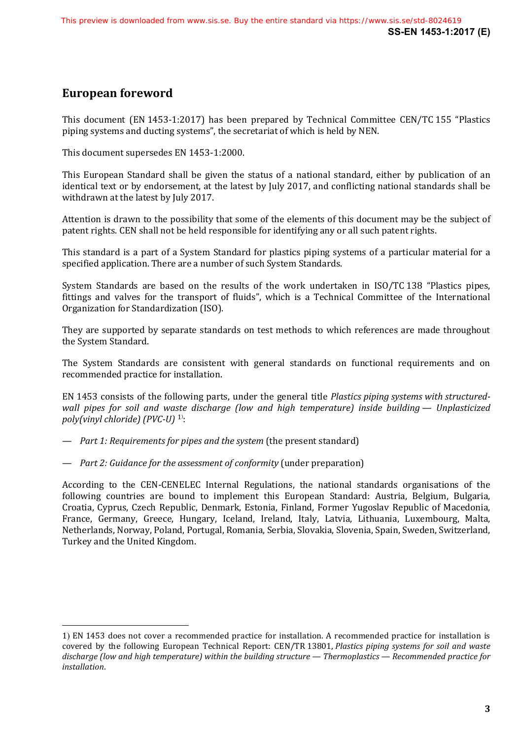# <span id="page-6-0"></span>**European foreword**

This document (EN 1453-1:2017) has been prepared by Technical Committee CEN/TC 155 "Plastics piping systems and ducting systems", the secretariat of which is held by NEN.

This document supersedes EN 1453-1:2000.

This European Standard shall be given the status of a national standard, either by publication of an identical text or by endorsement, at the latest by July 2017, and conflicting national standards shall be withdrawn at the latest by July 2017.

Attention is drawn to the possibility that some of the elements of this document may be the subject of patent rights. CEN shall not be held responsible for identifying any or all such patent rights.

This standard is a part of a System Standard for plastics piping systems of a particular material for a specified application. There are a number of such System Standards.

System Standards are based on the results of the work undertaken in ISO/TC 138 "Plastics pipes, fittings and valves for the transport of fluids", which is a Technical Committee of the International Organization for Standardization (ISO).

They are supported by separate standards on test methods to which references are made throughout the System Standard.

The System Standards are consistent with general standards on functional requirements and on recommended practice for installation.

EN 1453 consists of the following parts, under the general title *Plastics piping systems with structuredwall pipes for soil and wa[st](#page-6-1)e discharge (low and high temperature) inside building — Unplasticized poly(vinyl chloride) (PVC-U)* 1) :

- *Part 1: Requirements for pipes and the system* (the present standard)
- *Part 2: Guidance for the assessment of conformity* (under preparation)

According to the CEN-CENELEC Internal Regulations, the national standards organisations of the following countries are bound to implement this European Standard: Austria, Belgium, Bulgaria, Croatia, Cyprus, Czech Republic, Denmark, Estonia, Finland, Former Yugoslav Republic of Macedonia, France, Germany, Greece, Hungary, Iceland, Ireland, Italy, Latvia, Lithuania, Luxembourg, Malta, Netherlands, Norway, Poland, Portugal, Romania, Serbia, Slovakia, Slovenia, Spain, Sweden, Switzerland, Turkey and the United Kingdom.

<span id="page-6-1"></span>I 1) EN 1453 does not cover a recommended practice for installation. A recommended practice for installation is covered by the following European Technical Report: CEN/TR 13801, *Plastics piping systems for soil and waste discharge (low and high temperature) within the building structure — Thermoplastics — Recommended practice for installation*.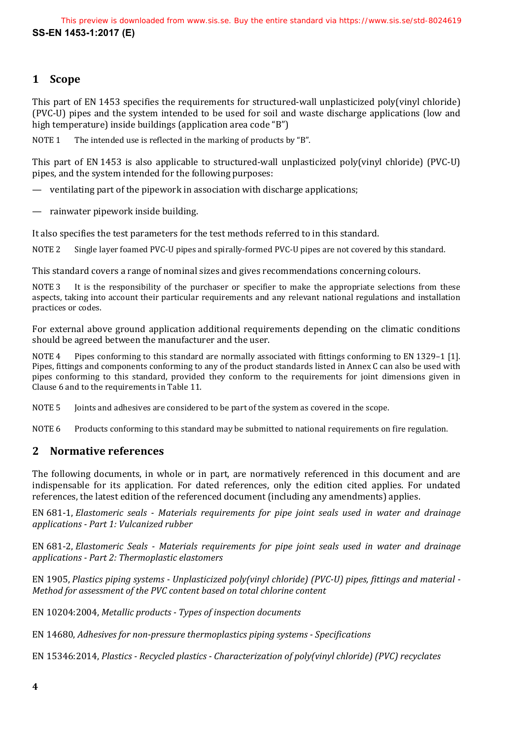### <span id="page-7-0"></span>**1 Scope**

This part of EN 1453 specifies the requirements for structured-wall unplasticized poly(vinyl chloride) (PVC-U) pipes and the system intended to be used for soil and waste discharge applications (low and high temperature) inside buildings (application area code "B")

NOTE 1 The intended use is reflected in the marking of products by "B".

This part of EN 1453 is also applicable to structured-wall unplasticized poly(vinyl chloride) (PVC-U) pipes, and the system intended for the following purposes:

- ventilating part of the pipework in association with discharge applications;
- rainwater pipework inside building.

It also specifies the test parameters for the test methods referred to in this standard.

NOTE 2 Single layer foamed PVC-U pipes and spirally-formed PVC-U pipes are not covered by this standard.

This standard covers a range of nominal sizes and gives recommendations concerning colours.

NOTE 3 It is the responsibility of the purchaser or specifier to make the appropriate selections from these aspects, taking into account their particular requirements and any relevant national regulations and installation practices or codes.

For external above ground application additional requirements depending on the climatic conditions should be agreed between the manufacturer and the user.

NOTE 4 Pipes conforming to this standard are normally associated with fittings conforming to EN 1329–1 [1]. Pipes, fittings and components conforming to any of the product standards listed in Annex C can also be used with pipes conforming to this standard, provided they conform to the requirements for joint dimensions given in Clause 6 and to the requirements in Table 11.

NOTE 5 Joints and adhesives are considered to be part of the system as covered in the scope.

NOTE 6 Products conforming to this standard may be submitted to national requirements on fire regulation.

### <span id="page-7-1"></span>**2 Normative references**

The following documents, in whole or in part, are normatively referenced in this document and are indispensable for its application. For dated references, only the edition cited applies. For undated references, the latest edition of the referenced document (including any amendments) applies.

EN 681-1, *Elastomeric seals - Materials requirements for pipe joint seals used in water and drainage applications - Part 1: Vulcanized rubber*

EN 681-2, *Elastomeric Seals - Materials requirements for pipe joint seals used in water and drainage applications - Part 2: Thermoplastic elastomers*

EN 1905, *Plastics piping systems - Unplasticized poly(vinyl chloride) (PVC-U) pipes, fittings and material - Method for assessment of the PVC content based on total chlorine content*

EN 10204:2004, *Metallic products - Types of inspection documents*

EN 14680, *Adhesives for non-pressure thermoplastics piping systems - Specifications*

EN 15346:2014, *Plastics - Recycled plastics - Characterization of poly(vinyl chloride) (PVC) recyclates*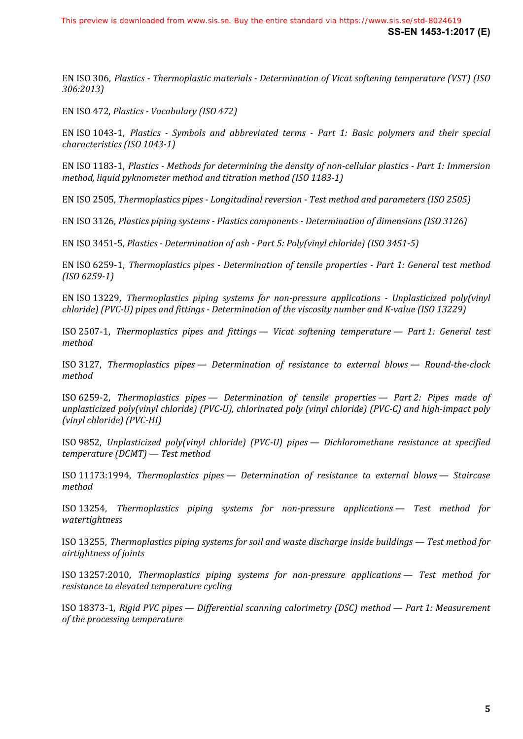EN ISO 306, *Plastics - Thermoplastic materials - Determination of Vicat softening temperature (VST) (ISO 306:2013)*

EN ISO 472, *Plastics - Vocabulary (ISO 472)*

EN ISO 1043-1, *Plastics - Symbols and abbreviated terms - Part 1: Basic polymers and their special characteristics (ISO 1043-1)*

EN ISO 1183-1, *Plastics - Methods for determining the density of non-cellular plastics - Part 1: Immersion method, liquid pyknometer method and titration method (ISO 1183-1)*

EN ISO 2505, *Thermoplastics pipes - Longitudinal reversion - Test method and parameters (ISO 2505)*

EN ISO 3126, *Plastics piping systems - Plastics components - Determination of dimensions (ISO 3126)*

EN ISO 3451-5, *Plastics - Determination of ash - Part 5: Poly(vinyl chloride) (ISO 3451-5)*

EN ISO 6259-1, *Thermoplastics pipes - Determination of tensile properties - Part 1: General test method (ISO 6259-1)*

EN ISO 13229, *Thermoplastics piping systems for non-pressure applications - Unplasticized poly(vinyl chloride) (PVC-U) pipes and fittings - Determination of the viscosity number and K-value (ISO 13229)*

ISO 2507-1, *Thermoplastics pipes and fittings — Vicat softening temperature — Part 1: General test method*

ISO 3127, *Thermoplastics pipes — Determination of resistance to external blows — Round-the-clock method*

ISO 6259-2, *Thermoplastics pipes — Determination of tensile properties — Part 2: Pipes made of unplasticized poly(vinyl chloride) (PVC-U), chlorinated poly (vinyl chloride) (PVC-C) and high-impact poly (vinyl chloride) (PVC-HI)*

ISO 9852, *Unplasticized poly(vinyl chloride) (PVC-U) pipes — Dichloromethane resistance at specified temperature (DCMT) — Test method*

ISO 11173:1994, *Thermoplastics pipes — Determination of resistance to external blows — Staircase method*

ISO 13254, *Thermoplastics piping systems for non-pressure applications — Test method for watertightness*

ISO 13255, *Thermoplastics piping systems for soil and waste discharge inside buildings — Test method for airtightness of joints*

ISO 13257:2010, *Thermoplastics piping systems for non-pressure applications — Test method for resistance to elevated temperature cycling*

ISO 18373-1, *Rigid PVC pipes — Differential scanning calorimetry (DSC) method — Part 1: Measurement of the processing temperature*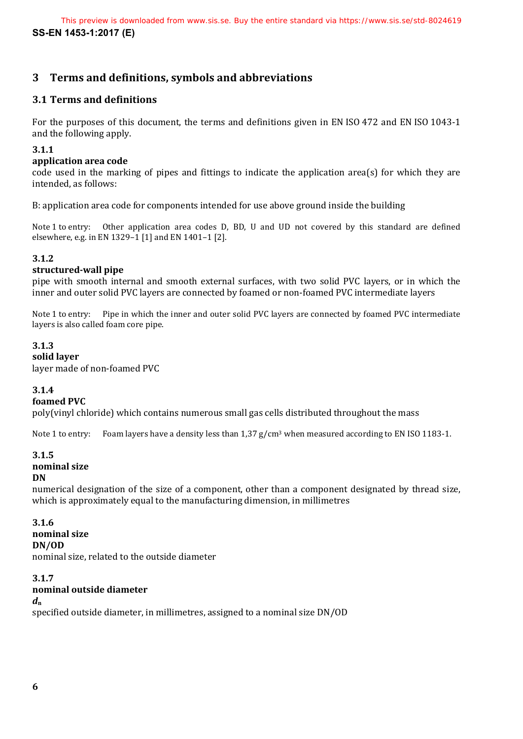## <span id="page-9-0"></span>**3 Terms and definitions, symbols and abbreviations**

### <span id="page-9-1"></span>**3.1 Terms and definitions**

For the purposes of this document, the terms and definitions given in EN ISO 472 and EN ISO 1043-1 and the following apply.

### **3.1.1**

### **application area code**

code used in the marking of pipes and fittings to indicate the application area(s) for which they are intended, as follows:

B: application area code for components intended for use above ground inside the building

Note 1 to entry: Other application area codes D, BD, U and UD not covered by this standard are defined elsewhere, e.g. in EN 1329–1 [1] and EN 1401–1 [2].

### **3.1.2**

### **structured-wall pipe**

pipe with smooth internal and smooth external surfaces, with two solid PVC layers, or in which the inner and outer solid PVC layers are connected by foamed or non-foamed PVC intermediate layers

Note 1 to entry: Pipe in which the inner and outer solid PVC layers are connected by foamed PVC intermediate layers is also called foam core pipe.

### **3.1.3**

**solid layer**

layer made of non-foamed PVC

### **3.1.4**

### **foamed PVC**

poly(vinyl chloride) which contains numerous small gas cells distributed throughout the mass

Note 1 to entry: Foam layers have a density less than  $1.37$  g/cm<sup>3</sup> when measured according to EN ISO 1183-1.

### **3.1.5 nominal size**

### **DN**

numerical designation of the size of a component, other than a component designated by thread size, which is approximately equal to the manufacturing dimension, in millimetres

#### **3.1.6 nominal size**

# **DN/OD**

nominal size, related to the outside diameter

### **3.1.7**

### **nominal outside diameter**

### *d***n**

specified outside diameter, in millimetres, assigned to a nominal size DN/OD